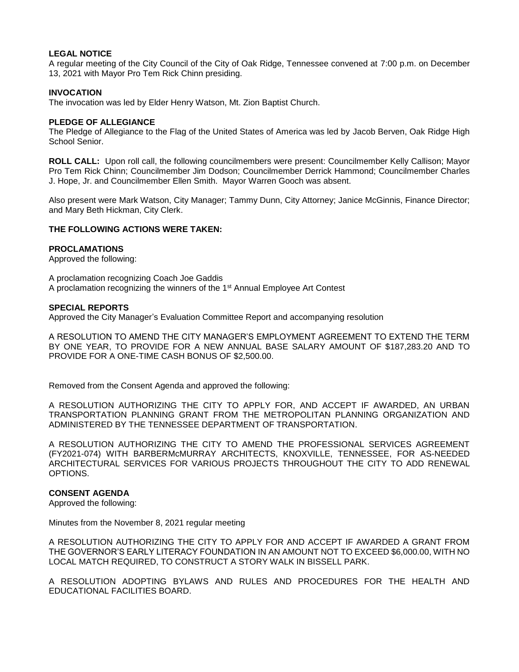# **LEGAL NOTICE**

A regular meeting of the City Council of the City of Oak Ridge, Tennessee convened at 7:00 p.m. on December 13, 2021 with Mayor Pro Tem Rick Chinn presiding.

# **INVOCATION**

The invocation was led by Elder Henry Watson, Mt. Zion Baptist Church.

### **PLEDGE OF ALLEGIANCE**

The Pledge of Allegiance to the Flag of the United States of America was led by Jacob Berven, Oak Ridge High School Senior.

**ROLL CALL:** Upon roll call, the following councilmembers were present: Councilmember Kelly Callison; Mayor Pro Tem Rick Chinn; Councilmember Jim Dodson; Councilmember Derrick Hammond; Councilmember Charles J. Hope, Jr. and Councilmember Ellen Smith. Mayor Warren Gooch was absent.

Also present were Mark Watson, City Manager; Tammy Dunn, City Attorney; Janice McGinnis, Finance Director; and Mary Beth Hickman, City Clerk.

# **THE FOLLOWING ACTIONS WERE TAKEN:**

### **PROCLAMATIONS**

Approved the following:

A proclamation recognizing Coach Joe Gaddis A proclamation recognizing the winners of the 1<sup>st</sup> Annual Employee Art Contest

### **SPECIAL REPORTS**

Approved the City Manager's Evaluation Committee Report and accompanying resolution

A RESOLUTION TO AMEND THE CITY MANAGER'S EMPLOYMENT AGREEMENT TO EXTEND THE TERM BY ONE YEAR, TO PROVIDE FOR A NEW ANNUAL BASE SALARY AMOUNT OF \$187,283.20 AND TO PROVIDE FOR A ONE-TIME CASH BONUS OF \$2,500.00.

Removed from the Consent Agenda and approved the following:

A RESOLUTION AUTHORIZING THE CITY TO APPLY FOR, AND ACCEPT IF AWARDED, AN URBAN TRANSPORTATION PLANNING GRANT FROM THE METROPOLITAN PLANNING ORGANIZATION AND ADMINISTERED BY THE TENNESSEE DEPARTMENT OF TRANSPORTATION.

A RESOLUTION AUTHORIZING THE CITY TO AMEND THE PROFESSIONAL SERVICES AGREEMENT (FY2021-074) WITH BARBERMcMURRAY ARCHITECTS, KNOXVILLE, TENNESSEE, FOR AS-NEEDED ARCHITECTURAL SERVICES FOR VARIOUS PROJECTS THROUGHOUT THE CITY TO ADD RENEWAL OPTIONS.

## **CONSENT AGENDA**

Approved the following:

Minutes from the November 8, 2021 regular meeting

A RESOLUTION AUTHORIZING THE CITY TO APPLY FOR AND ACCEPT IF AWARDED A GRANT FROM THE GOVERNOR'S EARLY LITERACY FOUNDATION IN AN AMOUNT NOT TO EXCEED \$6,000.00, WITH NO LOCAL MATCH REQUIRED, TO CONSTRUCT A STORY WALK IN BISSELL PARK.

A RESOLUTION ADOPTING BYLAWS AND RULES AND PROCEDURES FOR THE HEALTH AND EDUCATIONAL FACILITIES BOARD.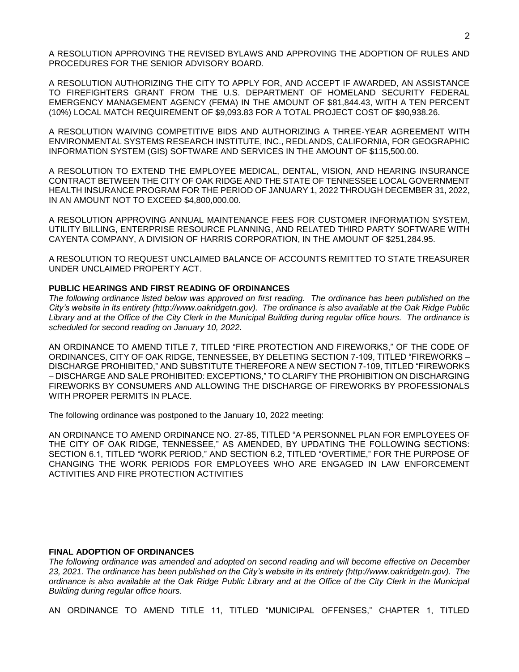A RESOLUTION APPROVING THE REVISED BYLAWS AND APPROVING THE ADOPTION OF RULES AND PROCEDURES FOR THE SENIOR ADVISORY BOARD.

A RESOLUTION AUTHORIZING THE CITY TO APPLY FOR, AND ACCEPT IF AWARDED, AN ASSISTANCE TO FIREFIGHTERS GRANT FROM THE U.S. DEPARTMENT OF HOMELAND SECURITY FEDERAL EMERGENCY MANAGEMENT AGENCY (FEMA) IN THE AMOUNT OF \$81,844.43, WITH A TEN PERCENT (10%) LOCAL MATCH REQUIREMENT OF \$9,093.83 FOR A TOTAL PROJECT COST OF \$90,938.26.

A RESOLUTION WAIVING COMPETITIVE BIDS AND AUTHORIZING A THREE-YEAR AGREEMENT WITH ENVIRONMENTAL SYSTEMS RESEARCH INSTITUTE, INC., REDLANDS, CALIFORNIA, FOR GEOGRAPHIC INFORMATION SYSTEM (GIS) SOFTWARE AND SERVICES IN THE AMOUNT OF \$115,500.00.

A RESOLUTION TO EXTEND THE EMPLOYEE MEDICAL, DENTAL, VISION, AND HEARING INSURANCE CONTRACT BETWEEN THE CITY OF OAK RIDGE AND THE STATE OF TENNESSEE LOCAL GOVERNMENT HEALTH INSURANCE PROGRAM FOR THE PERIOD OF JANUARY 1, 2022 THROUGH DECEMBER 31, 2022, IN AN AMOUNT NOT TO EXCEED \$4,800,000.00.

A RESOLUTION APPROVING ANNUAL MAINTENANCE FEES FOR CUSTOMER INFORMATION SYSTEM, UTILITY BILLING, ENTERPRISE RESOURCE PLANNING, AND RELATED THIRD PARTY SOFTWARE WITH CAYENTA COMPANY, A DIVISION OF HARRIS CORPORATION, IN THE AMOUNT OF \$251,284.95.

A RESOLUTION TO REQUEST UNCLAIMED BALANCE OF ACCOUNTS REMITTED TO STATE TREASURER UNDER UNCLAIMED PROPERTY ACT.

### **PUBLIC HEARINGS AND FIRST READING OF ORDINANCES**

*The following ordinance listed below was approved on first reading. The ordinance has been published on the City's website in its entirety (http://www.oakridgetn.gov). The ordinance is also available at the Oak Ridge Public Library and at the Office of the City Clerk in the Municipal Building during regular office hours. The ordinance is scheduled for second reading on January 10, 2022.* 

AN ORDINANCE TO AMEND TITLE 7, TITLED "FIRE PROTECTION AND FIREWORKS," OF THE CODE OF ORDINANCES, CITY OF OAK RIDGE, TENNESSEE, BY DELETING SECTION 7-109, TITLED "FIREWORKS – DISCHARGE PROHIBITED," AND SUBSTITUTE THEREFORE A NEW SECTION 7-109, TITLED "FIREWORKS – DISCHARGE AND SALE PROHIBITED: EXCEPTIONS," TO CLARIFY THE PROHIBITION ON DISCHARGING FIREWORKS BY CONSUMERS AND ALLOWING THE DISCHARGE OF FIREWORKS BY PROFESSIONALS WITH PROPER PERMITS IN PLACE.

The following ordinance was postponed to the January 10, 2022 meeting:

AN ORDINANCE TO AMEND ORDINANCE NO. 27-85, TITLED "A PERSONNEL PLAN FOR EMPLOYEES OF THE CITY OF OAK RIDGE, TENNESSEE," AS AMENDED, BY UPDATING THE FOLLOWING SECTIONS: SECTION 6.1, TITLED "WORK PERIOD," AND SECTION 6.2, TITLED "OVERTIME," FOR THE PURPOSE OF CHANGING THE WORK PERIODS FOR EMPLOYEES WHO ARE ENGAGED IN LAW ENFORCEMENT ACTIVITIES AND FIRE PROTECTION ACTIVITIES

#### **FINAL ADOPTION OF ORDINANCES**

*The following ordinance was amended and adopted on second reading and will become effective on December 23, 2021. The ordinance has been published on the City's website in its entirety (http://www.oakridgetn.gov). The ordinance is also available at the Oak Ridge Public Library and at the Office of the City Clerk in the Municipal Building during regular office hours.*

AN ORDINANCE TO AMEND TITLE 11, TITLED "MUNICIPAL OFFENSES," CHAPTER 1, TITLED